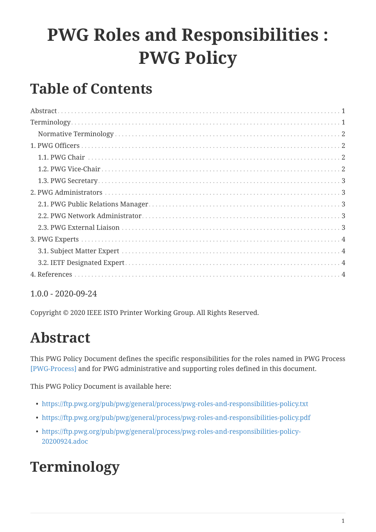# **PWG Roles and Responsibilities : PWG Policy**

### **Table of Contents**

#### 1.0.0 - 2020-09-24

Copyright © 2020 IEEE ISTO Printer Working Group. All Rights Reserved.

### <span id="page-0-0"></span>**Abstract**

This PWG Policy Document defines the specific responsibilities for the roles named in PWG Process [\[PWG-Process\]](#page-4-0) and for PWG administrative and supporting roles defined in this document.

This PWG Policy Document is available here:

- <https://ftp.pwg.org/pub/pwg/general/process/pwg-roles-and-responsibilities-policy.txt>
- <https://ftp.pwg.org/pub/pwg/general/process/pwg-roles-and-responsibilities-policy.pdf>
- [https://ftp.pwg.org/pub/pwg/general/process/pwg-roles-and-responsibilities-policy-](https://ftp.pwg.org/pub/pwg/general/process/pwg-roles-and-responsibilities-policy-20200924.adoc)[20200924.adoc](https://ftp.pwg.org/pub/pwg/general/process/pwg-roles-and-responsibilities-policy-20200924.adoc)

## <span id="page-0-1"></span>**Terminology**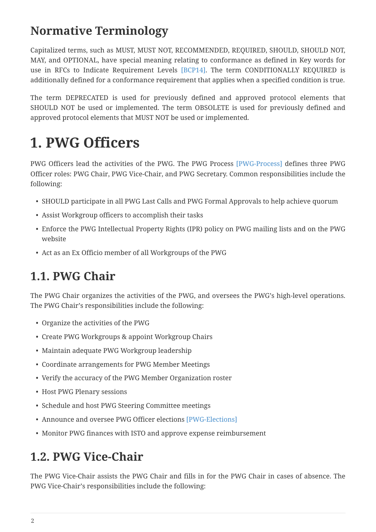#### <span id="page-1-0"></span>**Normative Terminology**

Capitalized terms, such as MUST, MUST NOT, RECOMMENDED, REQUIRED, SHOULD, SHOULD NOT, MAY, and OPTIONAL, have special meaning relating to conformance as defined in Key words for use in RFCs to Indicate Requirement Levels [BCP14]. The term CONDITIONALLY REQUIRED is additionally defined for a conformance requirement that applies when a specified condition is true.

The term DEPRECATED is used for previously defined and approved protocol elements that SHOULD NOT be used or implemented. The term OBSOLETE is used for previously defined and approved protocol elements that MUST NOT be used or implemented.

### <span id="page-1-1"></span>**1. PWG Officers**

PWG Officers lead the activities of the PWG. The PWG Process [\[PWG-Process\]](#page-4-0) defines three PWG Officer roles: PWG Chair, PWG Vice-Chair, and PWG Secretary. Common responsibilities include the following:

- SHOULD participate in all PWG Last Calls and PWG Formal Approvals to help achieve quorum
- Assist Workgroup officers to accomplish their tasks
- Enforce the PWG Intellectual Property Rights (IPR) policy on PWG mailing lists and on the PWG website
- Act as an Ex Officio member of all Workgroups of the PWG

#### <span id="page-1-2"></span>**1.1. PWG Chair**

The PWG Chair organizes the activities of the PWG, and oversees the PWG's high-level operations. The PWG Chair's responsibilities include the following:

- Organize the activities of the PWG
- Create PWG Workgroups & appoint Workgroup Chairs
- Maintain adequate PWG Workgroup leadership
- Coordinate arrangements for PWG Member Meetings
- Verify the accuracy of the PWG Member Organization roster
- Host PWG Plenary sessions
- Schedule and host PWG Steering Committee meetings
- Announce and oversee PWG Officer elections [\[PWG-Elections\]](#page-3-4)
- Monitor PWG finances with ISTO and approve expense reimbursement

#### <span id="page-1-3"></span>**1.2. PWG Vice-Chair**

The PWG Vice-Chair assists the PWG Chair and fills in for the PWG Chair in cases of absence. The PWG Vice-Chair's responsibilities include the following: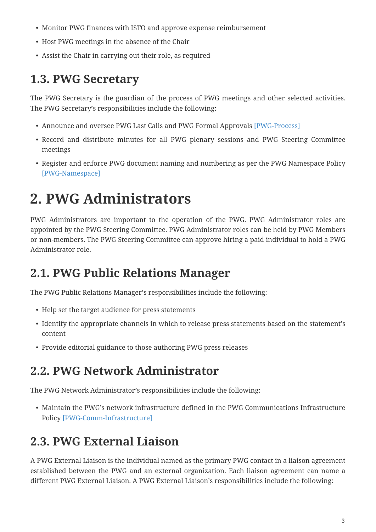- Monitor PWG finances with ISTO and approve expense reimbursement
- Host PWG meetings in the absence of the Chair
- Assist the Chair in carrying out their role, as required

#### <span id="page-2-0"></span>**1.3. PWG Secretary**

The PWG Secretary is the guardian of the process of PWG meetings and other selected activities. The PWG Secretary's responsibilities include the following:

- Announce and oversee PWG Last Calls and PWG Formal Approvals [\[PWG-Process\]](#page-4-0)
- Record and distribute minutes for all PWG plenary sessions and PWG Steering Committee meetings
- Register and enforce PWG document naming and numbering as per the PWG Namespace Policy [\[PWG-Namespace\]](#page-3-5)

### <span id="page-2-1"></span>**2. PWG Administrators**

PWG Administrators are important to the operation of the PWG. PWG Administrator roles are appointed by the PWG Steering Committee. PWG Administrator roles can be held by PWG Members or non-members. The PWG Steering Committee can approve hiring a paid individual to hold a PWG Administrator role.

#### <span id="page-2-2"></span>**2.1. PWG Public Relations Manager**

The PWG Public Relations Manager's responsibilities include the following:

- Help set the target audience for press statements
- Identify the appropriate channels in which to release press statements based on the statement's content
- Provide editorial guidance to those authoring PWG press releases

#### <span id="page-2-3"></span>**2.2. PWG Network Administrator**

The PWG Network Administrator's responsibilities include the following:

• Maintain the PWG's network infrastructure defined in the PWG Communications Infrastructure Policy [\[PWG-Comm-Infrastructure\]](#page-3-6)

#### <span id="page-2-4"></span>**2.3. PWG External Liaison**

A PWG External Liaison is the individual named as the primary PWG contact in a liaison agreement established between the PWG and an external organization. Each liaison agreement can name a different PWG External Liaison. A PWG External Liaison's responsibilities include the following: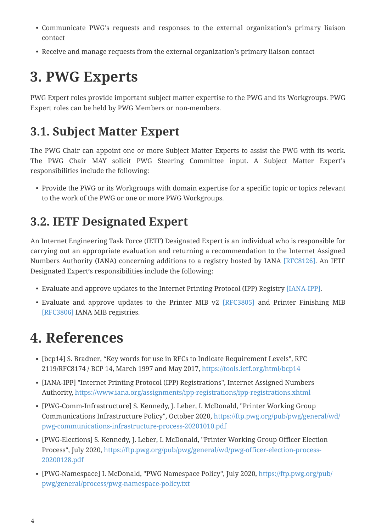- Communicate PWG's requests and responses to the external organization's primary liaison contact
- Receive and manage requests from the external organization's primary liaison contact

### <span id="page-3-0"></span>**3. PWG Experts**

PWG Expert roles provide important subject matter expertise to the PWG and its Workgroups. PWG Expert roles can be held by PWG Members or non-members.

#### <span id="page-3-1"></span>**3.1. Subject Matter Expert**

The PWG Chair can appoint one or more Subject Matter Experts to assist the PWG with its work. The PWG Chair MAY solicit PWG Steering Committee input. A Subject Matter Expert's responsibilities include the following:

• Provide the PWG or its Workgroups with domain expertise for a specific topic or topics relevant to the work of the PWG or one or more PWG Workgroups.

### <span id="page-3-2"></span>**3.2. IETF Designated Expert**

An Internet Engineering Task Force (IETF) Designated Expert is an individual who is responsible for carrying out an appropriate evaluation and returning a recommendation to the Internet Assigned Numbers Authority (IANA) concerning additions to a registry hosted by IANA [\[RFC8126\]](#page-4-1). An IETF Designated Expert's responsibilities include the following:

- Evaluate and approve updates to the Internet Printing Protocol (IPP) Registry [\[IANA-IPP\].](#page-3-7)
- Evaluate and approve updates to the Printer MIB v2 [\[RFC3805\]](#page-4-2) and Printer Finishing MIB [\[RFC3806\]](#page-4-3) IANA MIB registries.

### <span id="page-3-3"></span>**4. References**

- [bcp14] S. Bradner, "Key words for use in RFCs to Indicate Requirement Levels", RFC 2119/RFC8174 / BCP 14, March 1997 and May 2017, <https://tools.ietf.org/html/bcp14>
- <span id="page-3-7"></span>▪ [IANA-IPP] "Internet Printing Protocol (IPP) Registrations", Internet Assigned Numbers Authority, <https://www.iana.org/assignments/ipp-registrations/ipp-registrations.xhtml>
- <span id="page-3-6"></span>▪ [PWG-Comm-Infrastructure] S. Kennedy, J. Leber, I. McDonald, "Printer Working Group Communications Infrastructure Policy", October 2020, [https://ftp.pwg.org/pub/pwg/general/wd/](https://ftp.pwg.org/pub/pwg/general/wd/pwg-communications-infrastructure-process-20201010.pdf) [pwg-communications-infrastructure-process-20201010.pdf](https://ftp.pwg.org/pub/pwg/general/wd/pwg-communications-infrastructure-process-20201010.pdf)
- <span id="page-3-4"></span>▪ [PWG-Elections] S. Kennedy, J. Leber, I. McDonald, "Printer Working Group Officer Election Process", July 2020, [https://ftp.pwg.org/pub/pwg/general/wd/pwg-officer-election-process-](https://ftp.pwg.org/pub/pwg/general/wd/pwg-officer-election-process-20200128.pdf)[20200128.pdf](https://ftp.pwg.org/pub/pwg/general/wd/pwg-officer-election-process-20200128.pdf)
- <span id="page-3-5"></span>▪ [PWG-Namespace] I. McDonald, "PWG Namespace Policy", July 2020, [https://ftp.pwg.org/pub/](https://ftp.pwg.org/pub/pwg/general/process/pwg-namespace-policy.txt) [pwg/general/process/pwg-namespace-policy.txt](https://ftp.pwg.org/pub/pwg/general/process/pwg-namespace-policy.txt)